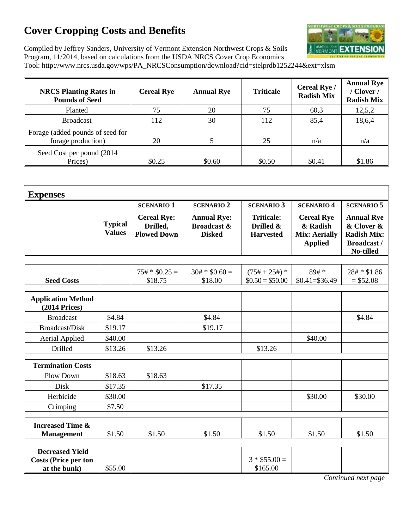## **Cover Cropping Costs and Benefits**



Compiled by Jeffrey Sanders, University of Vermont Extension Northwest Crops & Soils Program, 11/2014, based on calculations from the USDA NRCS Cover Crop Economics Tool: http://www.nrcs.usda.gov/wps/PA\_NRCSConsumption/download?cid=stelprdb1252244&ext=xlsm

| <b>NRCS Planting Rates in</b><br><b>Pounds of Seed</b> | <b>Cereal Rye</b> | <b>Annual Rye</b> | <b>Triticale</b> | Cereal Rye /<br><b>Radish Mix</b> | <b>Annual Rye</b><br>/ Clover /<br><b>Radish Mix</b> |
|--------------------------------------------------------|-------------------|-------------------|------------------|-----------------------------------|------------------------------------------------------|
| Planted                                                | 75                | 20                | 75               | 60,3                              | 12,5,2                                               |
| <b>Broadcast</b>                                       | 112               | 30                | 112              | 85,4                              | 18,6,4                                               |
| Forage (added pounds of seed for<br>forage production) | 20                |                   | 25               | n/a                               | n/a                                                  |
| Seed Cost per pound (2014)<br>Prices)                  | \$0.25            | \$0.60            | \$0.50           | \$0.41                            | \$1.86                                               |

| <b>Expenses</b>                                  |                                 |                                                      |                                                               |                                                    |                                                                         |                                                                                          |
|--------------------------------------------------|---------------------------------|------------------------------------------------------|---------------------------------------------------------------|----------------------------------------------------|-------------------------------------------------------------------------|------------------------------------------------------------------------------------------|
|                                                  |                                 | <b>SCENARIO 1</b>                                    | <b>SCENARIO 2</b>                                             | <b>SCENARIO 3</b>                                  | <b>SCENARIO 4</b>                                                       | <b>SCENARIO 5</b>                                                                        |
|                                                  | <b>Typical</b><br><b>Values</b> | <b>Cereal Rye:</b><br>Drilled,<br><b>Plowed Down</b> | <b>Annual Rye:</b><br><b>Broadcast &amp;</b><br><b>Disked</b> | <b>Triticale:</b><br>Drilled &<br><b>Harvested</b> | <b>Cereal Rye</b><br>& Radish<br><b>Mix: Aerially</b><br><b>Applied</b> | <b>Annual Rye</b><br>& Clover &<br><b>Radish Mix:</b><br><b>Broadcast /</b><br>No-tilled |
|                                                  |                                 | $75# * $0.25 =$                                      | $30# * $0.60 =$                                               |                                                    | $89#*$                                                                  |                                                                                          |
| <b>Seed Costs</b>                                |                                 | \$18.75                                              | \$18.00                                                       | $(75# + 25#)*$<br>$$0.50 = $50.00$                 | $$0.41 = $36.49$                                                        | 28# * \$1.86<br>$= $52.08$                                                               |
| <b>Application Method</b><br>$(2014$ Prices)     |                                 |                                                      |                                                               |                                                    |                                                                         |                                                                                          |
| <b>Broadcast</b>                                 | \$4.84                          |                                                      | \$4.84                                                        |                                                    |                                                                         | \$4.84                                                                                   |
| Broadcast/Disk                                   | \$19.17                         |                                                      | \$19.17                                                       |                                                    |                                                                         |                                                                                          |
| <b>Aerial Applied</b>                            | \$40.00                         |                                                      |                                                               |                                                    | \$40.00                                                                 |                                                                                          |
| Drilled                                          | \$13.26                         | \$13.26                                              |                                                               | \$13.26                                            |                                                                         |                                                                                          |
| <b>Termination Costs</b>                         |                                 |                                                      |                                                               |                                                    |                                                                         |                                                                                          |
| Plow Down                                        | \$18.63                         | \$18.63                                              |                                                               |                                                    |                                                                         |                                                                                          |
| Disk                                             | \$17.35                         |                                                      | \$17.35                                                       |                                                    |                                                                         |                                                                                          |
| Herbicide                                        | \$30.00                         |                                                      |                                                               |                                                    | \$30.00                                                                 | \$30.00                                                                                  |
| Crimping                                         | \$7.50                          |                                                      |                                                               |                                                    |                                                                         |                                                                                          |
| <b>Increased Time &amp;</b><br><b>Management</b> | \$1.50                          | \$1.50                                               | \$1.50                                                        | \$1.50                                             | \$1.50                                                                  | \$1.50                                                                                   |
| <b>Decreased Yield</b>                           |                                 |                                                      |                                                               |                                                    |                                                                         |                                                                                          |
| <b>Costs (Price per ton</b><br>at the bunk)      | \$55.00                         |                                                      |                                                               | $3 * $55.00 =$<br>\$165.00                         |                                                                         |                                                                                          |

*Continued next page*